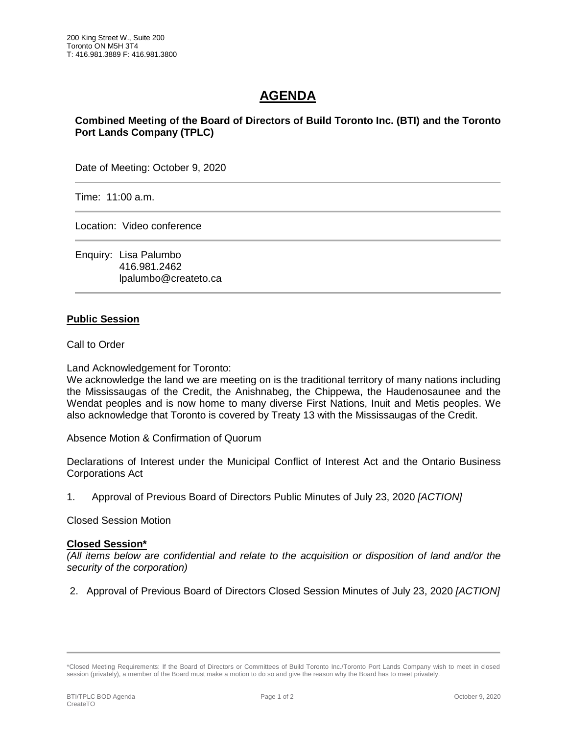## **AGENDA**

**Combined Meeting of the Board of Directors of Build Toronto Inc. (BTI) and the Toronto Port Lands Company (TPLC)**

Date of Meeting: October 9, 2020

Time: 11:00 a.m.

Location: Video conference

Enquiry: Lisa Palumbo 416.981.2462 lpalumbo@createto.ca

## **Public Session**

Call to Order

Land Acknowledgement for Toronto:

We acknowledge the land we are meeting on is the traditional territory of many nations including the Mississaugas of the Credit, the Anishnabeg, the Chippewa, the Haudenosaunee and the Wendat peoples and is now home to many diverse First Nations, Inuit and Metis peoples. We also acknowledge that Toronto is covered by Treaty 13 with the Mississaugas of the Credit.

Absence Motion & Confirmation of Quorum

Declarations of Interest under the Municipal Conflict of Interest Act and the Ontario Business Corporations Act

1. Approval of Previous Board of Directors Public Minutes of July 23, 2020 *[ACTION]* 

Closed Session Motion

## **Closed Session\***

*(All items below are confidential and relate to the acquisition or disposition of land and/or the security of the corporation)*

2. Approval of Previous Board of Directors Closed Session Minutes of July 23, 2020 *[ACTION]* 

<sup>\*</sup>Closed Meeting Requirements: If the Board of Directors or Committees of Build Toronto Inc./Toronto Port Lands Company wish to meet in closed session (privately), a member of the Board must make a motion to do so and give the reason why the Board has to meet privately.